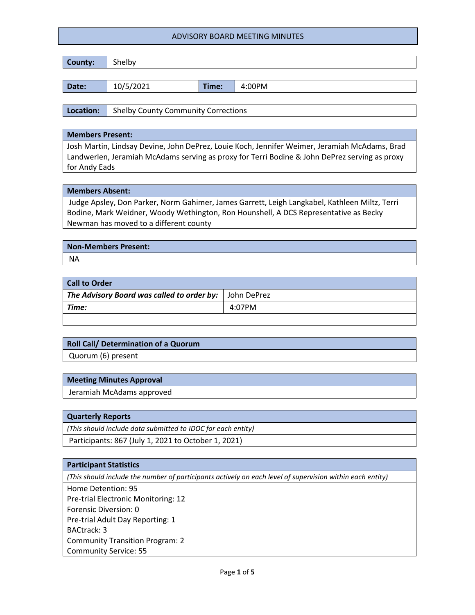| County: | Shelby    |       |        |
|---------|-----------|-------|--------|
|         |           |       |        |
| Date:   | 10/5/2021 | Time: | 4:00PM |

**Location:** Shelby County Community Corrections

#### **Members Present:**

Josh Martin, Lindsay Devine, John DePrez, Louie Koch, Jennifer Weimer, Jeramiah McAdams, Brad Landwerlen, Jeramiah McAdams serving as proxy for Terri Bodine & John DePrez serving as proxy for Andy Eads

#### **Members Absent:**

Judge Apsley, Don Parker, Norm Gahimer, James Garrett, Leigh Langkabel, Kathleen Miltz, Terri Bodine, Mark Weidner, Woody Wethington, Ron Hounshell, A DCS Representative as Becky Newman has moved to a different county

# **Non-Members Present:** NA

| <b>Call to Order</b>                                     |        |
|----------------------------------------------------------|--------|
| The Advisory Board was called to order by:   John DePrez |        |
| Time:                                                    | 4:07PM |
|                                                          |        |

# **Roll Call/ Determination of a Quorum**

Quorum (6) present

#### **Meeting Minutes Approval**

Jeramiah McAdams approved

#### **Quarterly Reports**

*(This should include data submitted to IDOC for each entity)*

Participants: 867 (July 1, 2021 to October 1, 2021)

#### **Participant Statistics**

*(This should include the number of participants actively on each level of supervision within each entity)*

Home Detention: 95 Pre-trial Electronic Monitoring: 12 Forensic Diversion: 0 Pre-trial Adult Day Reporting: 1 BACtrack: 3 Community Transition Program: 2 Community Service: 55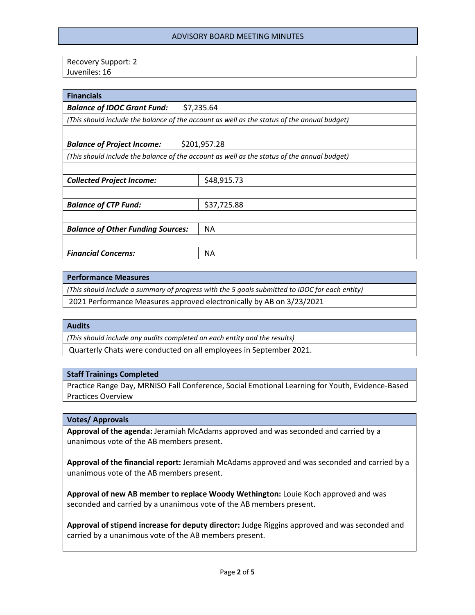Recovery Support: 2 Juveniles: 16

| <b>Financials</b>                                                                           |              |             |
|---------------------------------------------------------------------------------------------|--------------|-------------|
| <b>Balance of IDOC Grant Fund:</b>                                                          | \$7,235.64   |             |
| (This should include the balance of the account as well as the status of the annual budget) |              |             |
|                                                                                             |              |             |
| <b>Balance of Project Income:</b>                                                           | \$201,957.28 |             |
| (This should include the balance of the account as well as the status of the annual budget) |              |             |
|                                                                                             |              |             |
| <b>Collected Project Income:</b>                                                            |              | \$48,915.73 |
|                                                                                             |              |             |
| <b>Balance of CTP Fund:</b>                                                                 |              | \$37,725.88 |
|                                                                                             |              |             |
| <b>Balance of Other Funding Sources:</b>                                                    |              | <b>NA</b>   |
|                                                                                             |              |             |
| <b>Financial Concerns:</b>                                                                  |              | ΝA          |

#### **Performance Measures**

*(This should include a summary of progress with the 5 goals submitted to IDOC for each entity)*

2021 Performance Measures approved electronically by AB on 3/23/2021

#### **Audits**

*(This should include any audits completed on each entity and the results)*

Quarterly Chats were conducted on all employees in September 2021.

#### **Staff Trainings Completed**

Practice Range Day, MRNISO Fall Conference, Social Emotional Learning for Youth, Evidence-Based Practices Overview

#### **Votes/ Approvals**

**Approval of the agenda:** Jeramiah McAdams approved and was seconded and carried by a unanimous vote of the AB members present.

**Approval of the financial report:** Jeramiah McAdams approved and was seconded and carried by a unanimous vote of the AB members present.

**Approval of new AB member to replace Woody Wethington:** Louie Koch approved and was seconded and carried by a unanimous vote of the AB members present.

**Approval of stipend increase for deputy director:** Judge Riggins approved and was seconded and carried by a unanimous vote of the AB members present.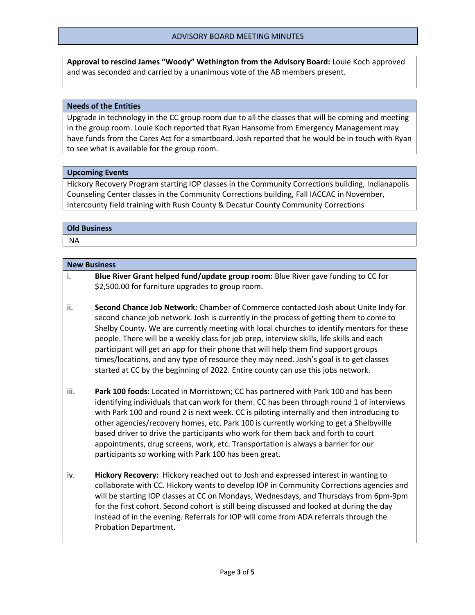**Approval to rescind James "Woody" Wethington from the Advisory Board:** Louie Koch approved and was seconded and carried by a unanimous vote of the AB members present.

### **Needs of the Entities**

Upgrade in technology in the CC group room due to all the classes that will be coming and meeting in the group room. Louie Koch reported that Ryan Hansome from Emergency Management may have funds from the Cares Act for a smartboard. Josh reported that he would be in touch with Ryan to see what is available for the group room.

## **Upcoming Events**

Hickory Recovery Program starting IOP classes in the Community Corrections building, Indianapolis Counseling Center classes in the Community Corrections building, Fall IACCAC in November, Intercounty field training with Rush County & Decatur County Community Corrections

## **Old Business**

NA

## **New Business**

- i. **Blue River Grant helped fund/update group room:** Blue River gave funding to CC for \$2,500.00 for furniture upgrades to group room.
- ii. **Second Chance Job Network:** Chamber of Commerce contacted Josh about Unite Indy for second chance job network. Josh is currently in the process of getting them to come to Shelby County. We are currently meeting with local churches to identify mentors for these people. There will be a weekly class for job prep, interview skills, life skills and each participant will get an app for their phone that will help them find support groups times/locations, and any type of resource they may need. Josh's goal is to get classes started at CC by the beginning of 2022. Entire county can use this jobs network.
- iii. **Park 100 foods:** Located in Morristown; CC has partnered with Park 100 and has been identifying individuals that can work for them. CC has been through round 1 of interviews with Park 100 and round 2 is next week. CC is piloting internally and then introducing to other agencies/recovery homes, etc. Park 100 is currently working to get a Shelbyville based driver to drive the participants who work for them back and forth to court appointments, drug screens, work, etc. Transportation is always a barrier for our participants so working with Park 100 has been great.
- iv. **Hickory Recovery:** Hickory reached out to Josh and expressed interest in wanting to collaborate with CC. Hickory wants to develop IOP in Community Corrections agencies and will be starting IOP classes at CC on Mondays, Wednesdays, and Thursdays from 6pm-9pm for the first cohort. Second cohort is still being discussed and looked at during the day instead of in the evening. Referrals for IOP will come from ADA referrals through the Probation Department.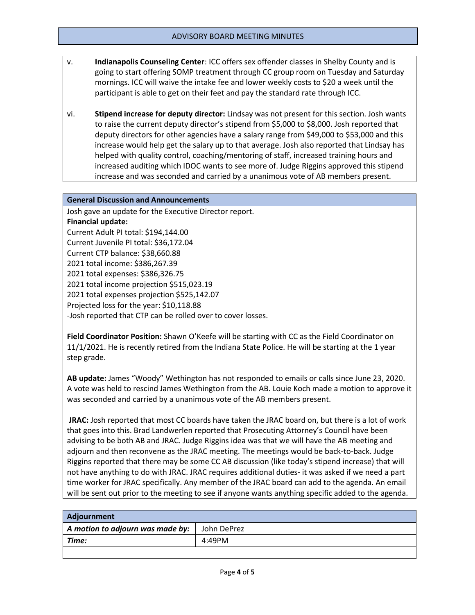- v. **Indianapolis Counseling Center**: ICC offers sex offender classes in Shelby County and is going to start offering SOMP treatment through CC group room on Tuesday and Saturday mornings. ICC will waive the intake fee and lower weekly costs to \$20 a week until the participant is able to get on their feet and pay the standard rate through ICC.
- vi. **Stipend increase for deputy director:** Lindsay was not present for this section. Josh wants to raise the current deputy director's stipend from \$5,000 to \$8,000. Josh reported that deputy directors for other agencies have a salary range from \$49,000 to \$53,000 and this increase would help get the salary up to that average. Josh also reported that Lindsay has helped with quality control, coaching/mentoring of staff, increased training hours and increased auditing which IDOC wants to see more of. Judge Riggins approved this stipend increase and was seconded and carried by a unanimous vote of AB members present.

## **General Discussion and Announcements**

Josh gave an update for the Executive Director report. **Financial update:** Current Adult PI total: \$194,144.00 Current Juvenile PI total: \$36,172.04 Current CTP balance: \$38,660.88 2021 total income: \$386,267.39 2021 total expenses: \$386,326.75 2021 total income projection \$515,023.19 2021 total expenses projection \$525,142.07 Projected loss for the year: \$10,118.88 -Josh reported that CTP can be rolled over to cover losses.

**Field Coordinator Position:** Shawn O'Keefe will be starting with CC as the Field Coordinator on 11/1/2021. He is recently retired from the Indiana State Police. He will be starting at the 1 year step grade.

**AB update:** James "Woody" Wethington has not responded to emails or calls since June 23, 2020. A vote was held to rescind James Wethington from the AB. Louie Koch made a motion to approve it was seconded and carried by a unanimous vote of the AB members present.

**JRAC:** Josh reported that most CC boards have taken the JRAC board on, but there is a lot of work that goes into this. Brad Landwerlen reported that Prosecuting Attorney's Council have been advising to be both AB and JRAC. Judge Riggins idea was that we will have the AB meeting and adjourn and then reconvene as the JRAC meeting. The meetings would be back-to-back. Judge Riggins reported that there may be some CC AB discussion (like today's stipend increase) that will not have anything to do with JRAC. JRAC requires additional duties- it was asked if we need a part time worker for JRAC specifically. Any member of the JRAC board can add to the agenda. An email will be sent out prior to the meeting to see if anyone wants anything specific added to the agenda.

| Adjournment                      |             |
|----------------------------------|-------------|
| A motion to adjourn was made by: | John DePrez |
| Time:                            | 4:49PM      |
|                                  |             |